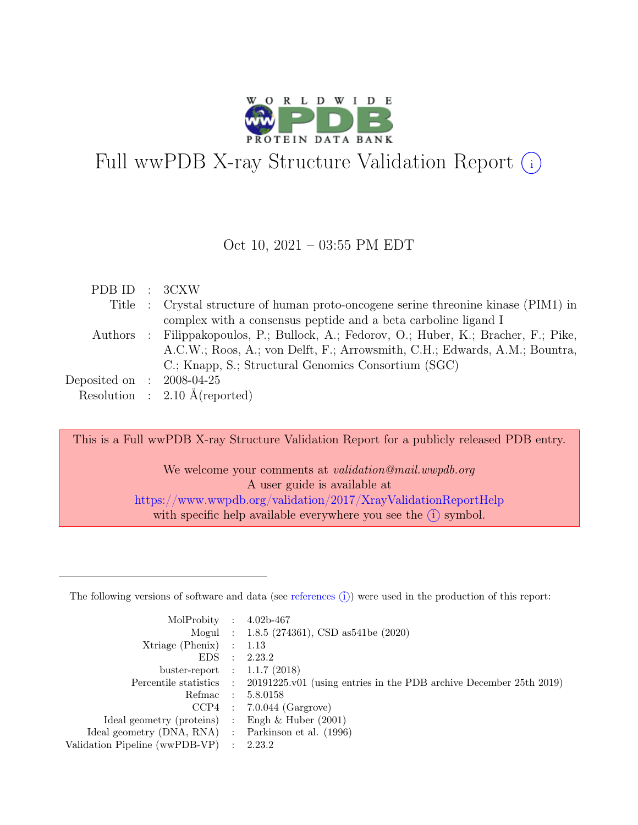

# Full wwPDB X-ray Structure Validation Report  $(i)$

#### Oct 10, 2021 – 03:55 PM EDT

| PDB ID : 3CXW               |                                                                                        |
|-----------------------------|----------------------------------------------------------------------------------------|
|                             | Title : Crystal structure of human proto-oncogene serine threonine kinase (PIM1) in    |
|                             | complex with a consensus peptide and a beta carboline ligand I                         |
|                             | Authors : Filippakopoulos, P.; Bullock, A.; Fedorov, O.; Huber, K.; Bracher, F.; Pike, |
|                             | A.C.W.; Roos, A.; von Delft, F.; Arrowsmith, C.H.; Edwards, A.M.; Bountra,             |
|                             | C.; Knapp, S.; Structural Genomics Consortium (SGC)                                    |
| Deposited on : $2008-04-25$ |                                                                                        |
|                             | Resolution : $2.10 \text{ Å}$ (reported)                                               |

This is a Full wwPDB X-ray Structure Validation Report for a publicly released PDB entry.

We welcome your comments at validation@mail.wwpdb.org A user guide is available at <https://www.wwpdb.org/validation/2017/XrayValidationReportHelp> with specific help available everywhere you see the  $(i)$  symbol.

The following versions of software and data (see [references](https://www.wwpdb.org/validation/2017/XrayValidationReportHelp#references)  $(i)$ ) were used in the production of this report:

| MolProbity : $4.02b-467$                            |                                                                                            |
|-----------------------------------------------------|--------------------------------------------------------------------------------------------|
|                                                     | Mogul : 1.8.5 (274361), CSD as541be (2020)                                                 |
| $Xtriangle (Phenix)$ : 1.13                         |                                                                                            |
|                                                     | EDS : 2.23.2                                                                               |
| buster-report : $1.1.7$ (2018)                      |                                                                                            |
|                                                     | Percentile statistics : 20191225.v01 (using entries in the PDB archive December 25th 2019) |
|                                                     | Refmac : 5.8.0158                                                                          |
|                                                     | $CCP4$ : 7.0.044 (Gargrove)                                                                |
| Ideal geometry (proteins) : Engh $\&$ Huber (2001)  |                                                                                            |
| Ideal geometry (DNA, RNA) : Parkinson et al. (1996) |                                                                                            |
| Validation Pipeline (wwPDB-VP) : $2.23.2$           |                                                                                            |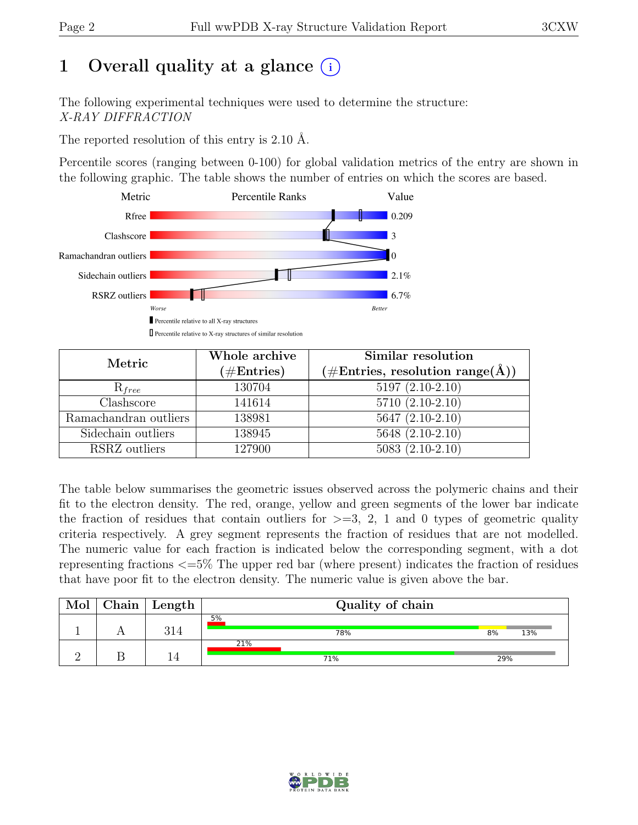# 1 Overall quality at a glance  $(i)$

The following experimental techniques were used to determine the structure: X-RAY DIFFRACTION

The reported resolution of this entry is 2.10 Å.

Percentile scores (ranging between 0-100) for global validation metrics of the entry are shown in the following graphic. The table shows the number of entries on which the scores are based.



| Metric                | Whole archive<br>$(\#Entries)$ | Similar resolution<br>$(\# \text{Entries}, \text{ resolution } \text{range}(\AA))$ |
|-----------------------|--------------------------------|------------------------------------------------------------------------------------|
| $R_{free}$            | 130704                         | $5197(2.10-2.10)$                                                                  |
| Clashscore            | 141614                         | $5710(2.10-2.10)$                                                                  |
| Ramachandran outliers | 138981                         | $5647 (2.10-2.10)$                                                                 |
| Sidechain outliers    | 138945                         | 5648 (2.10-2.10)                                                                   |
| RSRZ outliers         | 127900                         | $5083(2.10-2.10)$                                                                  |

The table below summarises the geometric issues observed across the polymeric chains and their fit to the electron density. The red, orange, yellow and green segments of the lower bar indicate the fraction of residues that contain outliers for  $\geq$ =3, 2, 1 and 0 types of geometric quality criteria respectively. A grey segment represents the fraction of residues that are not modelled. The numeric value for each fraction is indicated below the corresponding segment, with a dot representing fractions <=5% The upper red bar (where present) indicates the fraction of residues that have poor fit to the electron density. The numeric value is given above the bar.

| Mol | ${\bf Chain}$ | $\perp$ Length | Quality of chain |     |     |
|-----|---------------|----------------|------------------|-----|-----|
|     |               | 314            | 5%<br>78%        | 8%  | 13% |
|     |               |                | 21%<br>71%       | 29% |     |

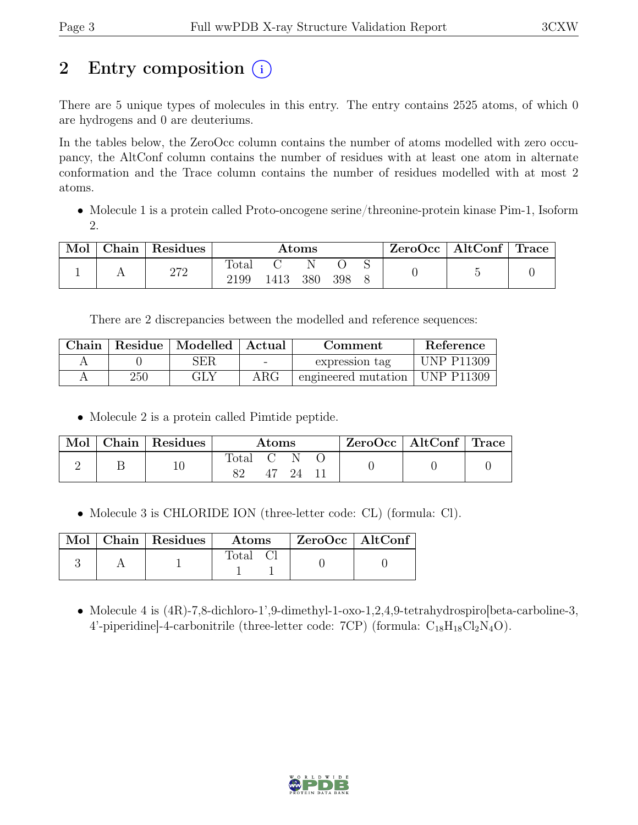# 2 Entry composition (i)

There are 5 unique types of molecules in this entry. The entry contains 2525 atoms, of which 0 are hydrogens and 0 are deuteriums.

In the tables below, the ZeroOcc column contains the number of atoms modelled with zero occupancy, the AltConf column contains the number of residues with at least one atom in alternate conformation and the Trace column contains the number of residues modelled with at most 2 atoms.

• Molecule 1 is a protein called Proto-oncogene serine/threonine-protein kinase Pim-1, Isoform 2.

| Mol | Chain | $\perp$ Residues | $\rm{Atoms}$  |      |     | ZeroOcc   AltConf   Trace |  |  |  |
|-----|-------|------------------|---------------|------|-----|---------------------------|--|--|--|
|     |       | 272              | Total<br>2199 | 1413 | 380 | 398                       |  |  |  |

There are 2 discrepancies between the modelled and reference sequences:

| Chain |     | Residue   Modelled   Actual | Comment    |                                  | Reference         |
|-------|-----|-----------------------------|------------|----------------------------------|-------------------|
|       |     | SER                         | $\sim$     | expression tag                   | <b>UNP P11309</b> |
|       | 250 | GLY                         | $\rm{ARG}$ | engineered mutation   UNP P11309 |                   |

• Molecule 2 is a protein called Pimtide peptide.

| Mol | Chain Residues | $\rm{Atoms}$ |  | $ZeroOcc \mid AltConf \mid Trace$ |  |  |  |
|-----|----------------|--------------|--|-----------------------------------|--|--|--|
|     |                | Total C N    |  | -24 - 11                          |  |  |  |

• Molecule 3 is CHLORIDE ION (three-letter code: CL) (formula: Cl).

|  | Mol   Chain   Residues | $\boldsymbol{\mathrm{Atoms}}$ | $ZeroOcc \   \$ AltConf |
|--|------------------------|-------------------------------|-------------------------|
|  |                        | Total Cl                      |                         |

• Molecule 4 is (4R)-7,8-dichloro-1',9-dimethyl-1-oxo-1,2,4,9-tetrahydrospiro[beta-carboline-3, 4'-piperidine]-4-carbonitrile (three-letter code:  $7CP$ ) (formula:  $C_{18}H_{18}Cl_2N_4O$ ).

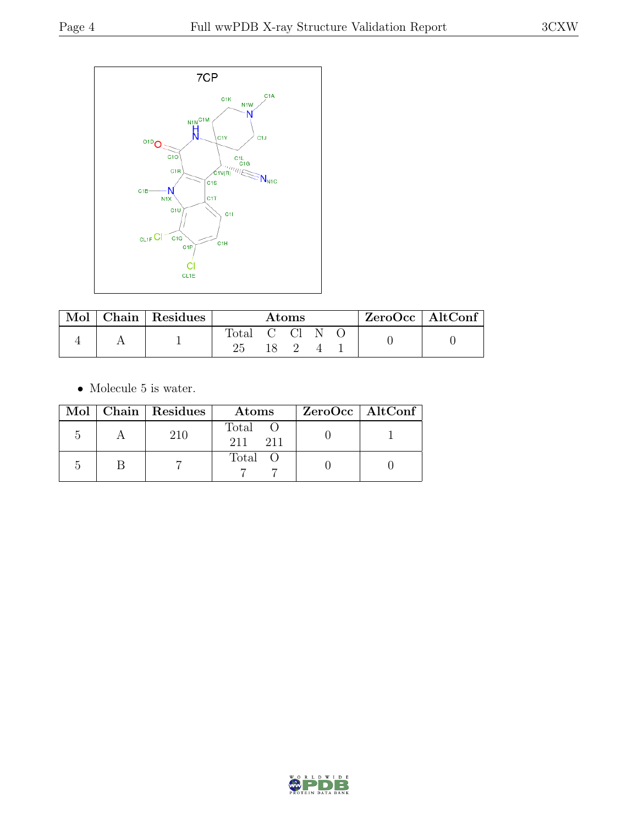

| Mol | Chain Residues | Atoms      |  |  | ZeroOcc   AltConf |  |  |
|-----|----------------|------------|--|--|-------------------|--|--|
|     |                | Total C Cl |  |  |                   |  |  |
|     |                |            |  |  |                   |  |  |

 $\bullet\,$  Molecule 5 is water.

|  | Mol   Chain   Residues | Atoms                 | ZeroOcc   AltConf |
|--|------------------------|-----------------------|-------------------|
|  | 210                    | Total O<br>211<br>211 |                   |
|  |                        | Total O               |                   |

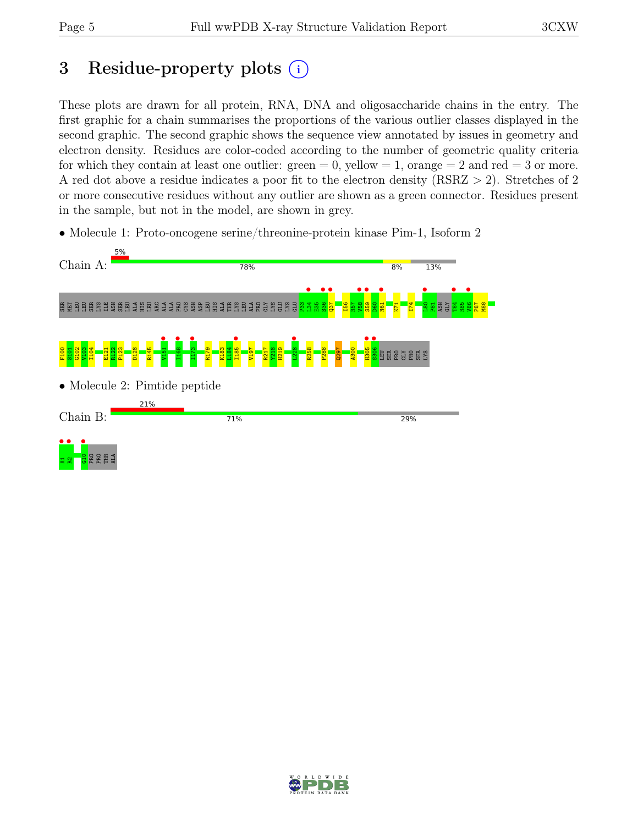# 3 Residue-property plots  $(i)$

These plots are drawn for all protein, RNA, DNA and oligosaccharide chains in the entry. The first graphic for a chain summarises the proportions of the various outlier classes displayed in the second graphic. The second graphic shows the sequence view annotated by issues in geometry and electron density. Residues are color-coded according to the number of geometric quality criteria for which they contain at least one outlier:  $green = 0$ , yellow  $= 1$ , orange  $= 2$  and red  $= 3$  or more. A red dot above a residue indicates a poor fit to the electron density (RSRZ > 2). Stretches of 2 or more consecutive residues without any outlier are shown as a green connector. Residues present in the sample, but not in the model, are shown in grey.

• Molecule 1: Proto-oncogene serine/threonine-protein kinase Pim-1, Isoform 2



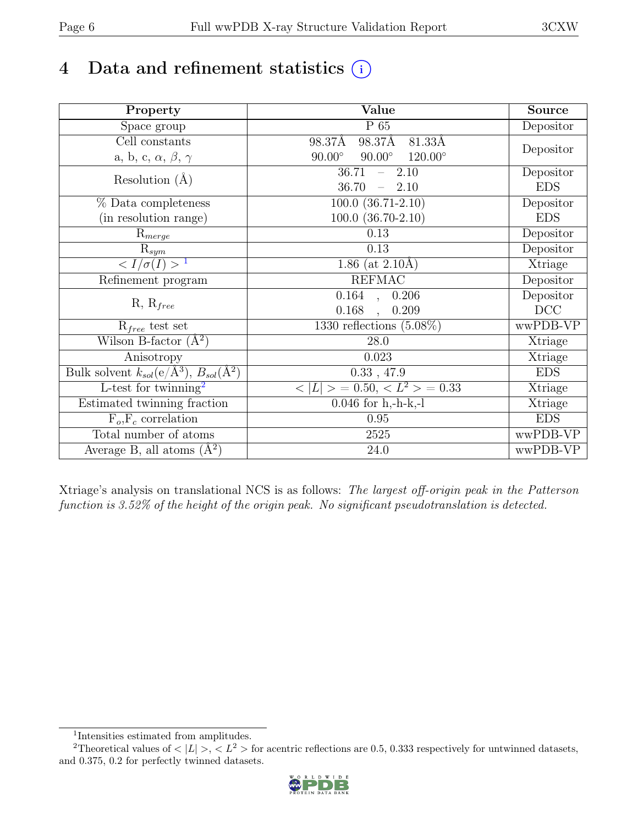# 4 Data and refinement statistics  $(i)$

| Property                                                                               | Value                                            | Source     |
|----------------------------------------------------------------------------------------|--------------------------------------------------|------------|
| Space group                                                                            | $P_65$                                           | Depositor  |
| $\overline{\text{Cell}}$ constants                                                     | 98.37Å<br>98.37Å<br>81.33Å                       |            |
| a, b, c, $\alpha$ , $\beta$ , $\gamma$                                                 | $90.00^\circ$<br>$120.00^\circ$<br>$90.00^\circ$ | Depositor  |
| Resolution $(A)$                                                                       | 36.71<br>2.10<br>$\equiv$ .                      | Depositor  |
|                                                                                        | 36.70<br>2.10<br>$\equiv$ .                      | <b>EDS</b> |
| % Data completeness                                                                    | $\overline{100.0}$ $(36.71-2.10)$                | Depositor  |
| (in resolution range)                                                                  | $100.0$ $(36.70-2.10)$                           | <b>EDS</b> |
| $R_{merge}$                                                                            | 0.13                                             | Depositor  |
| $\mathrm{R}_{sym}$                                                                     | 0.13                                             | Depositor  |
| $\langle I/\sigma(I) \rangle$ <sup>1</sup>                                             | $1.86$ (at 2.10Å)                                | Xtriage    |
| Refinement program                                                                     | <b>REFMAC</b>                                    | Depositor  |
|                                                                                        | $0.164$ ,<br>0.206                               | Depositor  |
| $R, R_{free}$                                                                          | 0.168<br>0.209                                   | DCC        |
| $R_{free}$ test set                                                                    | 1330 reflections $(5.08\%)$                      | wwPDB-VP   |
| Wilson B-factor $(A^2)$                                                                | 28.0                                             | Xtriage    |
| Anisotropy                                                                             | 0.023                                            | Xtriage    |
| Bulk solvent $k_{sol}(\overline{e/\mathrm{A}^3})$ , $\overline{B_{sol}(\mathrm{A}^2)}$ | 0.33, 47.9                                       | <b>EDS</b> |
| L-test for twinning <sup>2</sup>                                                       | $< L >$ = 0.50, $< L^2 >$ = 0.33                 | Xtriage    |
| Estimated twinning fraction                                                            | $0.046$ for h,-h-k,-l                            | Xtriage    |
| $F_o, F_c$ correlation                                                                 | 0.95                                             | <b>EDS</b> |
| Total number of atoms                                                                  | $2525\,$                                         | wwPDB-VP   |
| Average B, all atoms $(A^2)$                                                           | 24.0                                             | wwPDB-VP   |

Xtriage's analysis on translational NCS is as follows: The largest off-origin peak in the Patterson function is 3.52% of the height of the origin peak. No significant pseudotranslation is detected.

<sup>&</sup>lt;sup>2</sup>Theoretical values of  $\langle |L| \rangle$ ,  $\langle L^2 \rangle$  for acentric reflections are 0.5, 0.333 respectively for untwinned datasets, and 0.375, 0.2 for perfectly twinned datasets.



<span id="page-5-1"></span><span id="page-5-0"></span><sup>1</sup> Intensities estimated from amplitudes.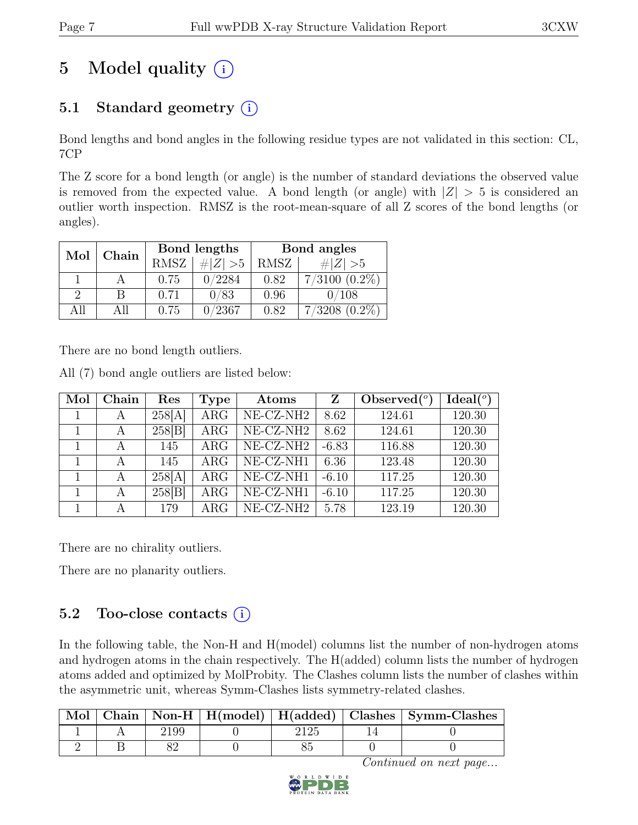# 5 Model quality  $(i)$

### 5.1 Standard geometry  $(i)$

Bond lengths and bond angles in the following residue types are not validated in this section: CL, 7CP

The Z score for a bond length (or angle) is the number of standard deviations the observed value is removed from the expected value. A bond length (or angle) with  $|Z| > 5$  is considered an outlier worth inspection. RMSZ is the root-mean-square of all Z scores of the bond lengths (or angles).

| Mol      | Chain |             | Bond lengths | Bond angles |                    |  |
|----------|-------|-------------|--------------|-------------|--------------------|--|
|          |       | <b>RMSZ</b> | $\# Z  > 5$  | RMSZ        | $\# Z  > 5$        |  |
|          |       | 0.75        | 0/2284       | 0.82        | $7/3100$ $(0.2\%)$ |  |
| $\Omega$ | В     | 0.71        | 0/83         | 0.96        | 0/108              |  |
| A 11     | All   | 0.75        | 0/2367       | 0.82        | $7/3208$ $(0.2\%)$ |  |

There are no bond length outliers.

All (7) bond angle outliers are listed below:

| Mol | Chain | Res    | <b>Type</b> | Atoms                 | Z       | Observed $(°)$ | Ideal <sup>(o)</sup> |
|-----|-------|--------|-------------|-----------------------|---------|----------------|----------------------|
|     | А     | 258[A] | ARG         | $NE- CZ-NH2$          | 8.62    | 124.61         | 120.30               |
|     | A     | 258 B  | ARG         | NE-CZ-NH2             | 8.62    | 124.61         | 120.30               |
|     | А     | 145    | $\rm{ARG}$  | $NE- CZ-NH2$          | $-6.83$ | 116.88         | 120.30               |
|     | А     | 145    | $\rm{ARG}$  | $NE- CZ-NH1$          | 6.36    | 123.48         | 120.30               |
|     | А     | 258[A] | <b>ARG</b>  | NE-CZ-NH1             | $-6.10$ | 117.25         | 120.30               |
|     | A     | 258 B  | ARG         | NE-CZ-NH1             | $-6.10$ | 117.25         | 120.30               |
|     | А     | 179    | $\rm{ARG}$  | NE-CZ-NH <sub>2</sub> | 5.78    | 123.19         | 120.30               |

There are no chirality outliers.

There are no planarity outliers.

#### 5.2 Too-close contacts  $(i)$

In the following table, the Non-H and H(model) columns list the number of non-hydrogen atoms and hydrogen atoms in the chain respectively. The H(added) column lists the number of hydrogen atoms added and optimized by MolProbity. The Clashes column lists the number of clashes within the asymmetric unit, whereas Symm-Clashes lists symmetry-related clashes.

| Mol |  |  | Chain   Non-H   H(model)   H(added)   Clashes   Symm-Clashes |
|-----|--|--|--------------------------------------------------------------|
|     |  |  |                                                              |
|     |  |  |                                                              |

Continued on next page...

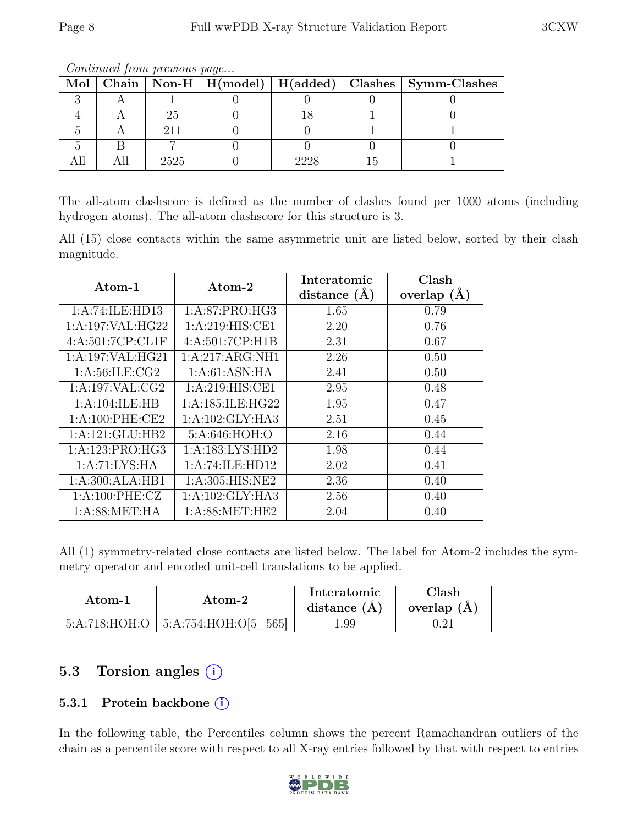| Mol |      |      | Chain   Non-H   H(model)   H(added)   Clashes   Symm-Clashes |
|-----|------|------|--------------------------------------------------------------|
|     |      |      |                                                              |
|     |      |      |                                                              |
|     |      |      |                                                              |
|     |      |      |                                                              |
|     | 2525 | วววร |                                                              |

Continued from previous page...

The all-atom clashscore is defined as the number of clashes found per 1000 atoms (including hydrogen atoms). The all-atom clashscore for this structure is 3.

All (15) close contacts within the same asymmetric unit are listed below, sorted by their clash magnitude.

| $\rm{Atom\text{-}1}$ | $\rm{Atom}\text{-}2$ | Interatomic    | Clash         |
|----------------------|----------------------|----------------|---------------|
|                      |                      | distance $(A)$ | overlap $(A)$ |
| 1:A:74:ILE:HD13      | 1:A:87:PRO:HG3       | 1.65           | 0.79          |
| 1:A:197:VAL:HG22     | 1: A:219: HIS: CE1   | 2.20           | 0.76          |
| 4:A:501:7CP:CL1F     | 4:A:501:7CP:H1B      | 2.31           | 0.67          |
| 1: A:197: VAL: HG21  | 1:A:217:ARG:NH1      | 2.26           | 0.50          |
| 1: A:56: ILE: CG2    | 1: A:61: ASN: HA     | 2.41           | 0.50          |
| 1:A:197:VAL:CG2      | 1: A:219: HIS: CE1   | 2.95           | 0.48          |
| 1:A:104:ILE:HB       | 1: A:185: ILE: HG22  | 1.95           | 0.47          |
| 1: A:100: PHE:CE2    | 1: A: 102: GLY: HA3  | 2.51           | 0.45          |
| 1:A:121:GLU:HB2      | 5:A:646:HOH:O        | 2.16           | 0.44          |
| 1:A:123:PRO:HG3      | 1:A:183:LYS:HD2      | 1.98           | 0.44          |
| 1: A:71: LYS: HA     | 1:A:74:ILE:HD12      | 2.02           | 0.41          |
| 1:A:300:ALA:HB1      | 1: A:305: HIS: NE2   | 2.36           | 0.40          |
| 1: A:100: PHE: CZ    | 1:A:102:GLY:HA3      | 2.56           | 0.40          |
| 1: A:88: MET:HA      | 1: A:88: MET:HE2     | 2.04           | 0.40          |

All (1) symmetry-related close contacts are listed below. The label for Atom-2 includes the symmetry operator and encoded unit-cell translations to be applied.

| Atom-1 | Atom-2                                   | Interatomic<br>distance $(A)$ | Clash<br>overlap $(A)$ |
|--------|------------------------------------------|-------------------------------|------------------------|
|        | $5:A:718:HOH:O$   $5:A:754:HOH:O[5 565]$ | 1.99                          |                        |

### 5.3 Torsion angles (i)

#### 5.3.1 Protein backbone (i)

In the following table, the Percentiles column shows the percent Ramachandran outliers of the chain as a percentile score with respect to all X-ray entries followed by that with respect to entries

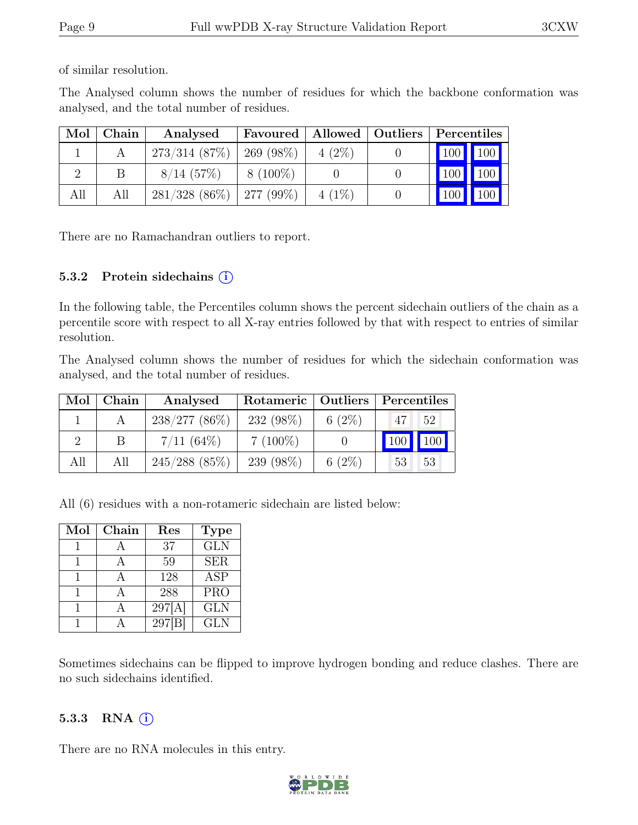of similar resolution.

The Analysed column shows the number of residues for which the backbone conformation was analysed, and the total number of residues.

| Mol | Chain | Analysed                      | Favoured    | Allowed   Outliers | Percentiles |               |
|-----|-------|-------------------------------|-------------|--------------------|-------------|---------------|
|     |       | 273/314(87%)                  | $269(98\%)$ | $4(2\%)$           | 100 100     |               |
|     |       | $8/14$ (57\%)                 | $8(100\%)$  |                    |             | $100$   $100$ |
| All | All   | $281/328$ (86\%)   277 (99\%) |             | $4(1\%)$           | 100         | 100           |

There are no Ramachandran outliers to report.

#### 5.3.2 Protein sidechains  $(i)$

In the following table, the Percentiles column shows the percent sidechain outliers of the chain as a percentile score with respect to all X-ray entries followed by that with respect to entries of similar resolution.

The Analysed column shows the number of residues for which the sidechain conformation was analysed, and the total number of residues.

| Mol | Chain | Analysed        |            |           | Rotameric   Outliers   Percentiles |  |
|-----|-------|-----------------|------------|-----------|------------------------------------|--|
|     |       | $238/277(86\%)$ | 232 (98%)  | 6 $(2\%)$ | 47 <sub>1</sub><br>52              |  |
|     |       | $7/11(64\%)$    | $7(100\%)$ |           | 100                                |  |
| All | All   | $245/288$ (85%) | 239 (98%)  | 6 $(2\%)$ | 53<br>53                           |  |

All (6) residues with a non-rotameric sidechain are listed below:

| Mol | Chain | Res    | <b>Type</b>             |
|-----|-------|--------|-------------------------|
|     |       | 37     | $\overline{\text{GLN}}$ |
|     |       | 59     | <b>SER</b>              |
|     |       | 128    | <b>ASP</b>              |
|     |       | 288    | <b>PRO</b>              |
|     |       | 297[A] | <b>GLN</b>              |
|     |       | 297    | <b>GLN</b>              |

Sometimes sidechains can be flipped to improve hydrogen bonding and reduce clashes. There are no such sidechains identified.

#### 5.3.3 RNA  $(i)$

There are no RNA molecules in this entry.

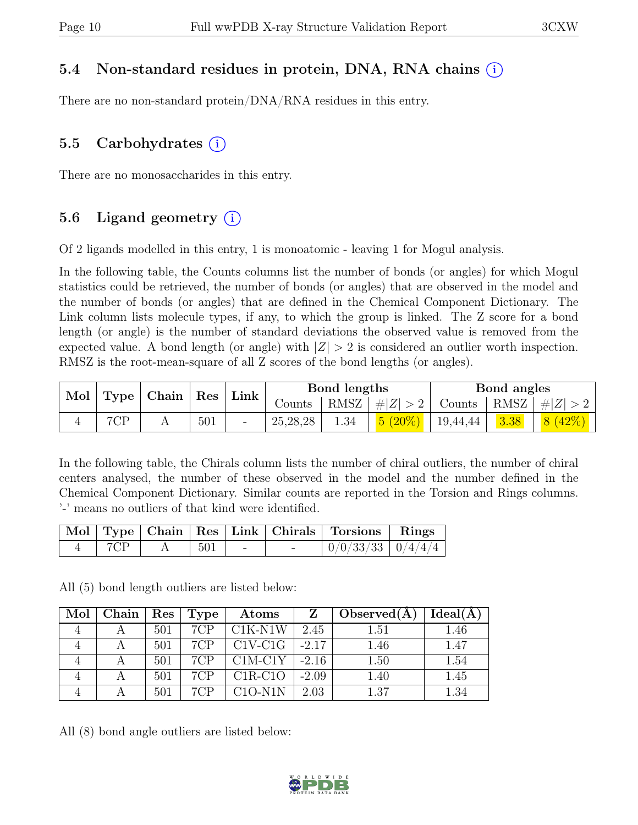#### 5.4 Non-standard residues in protein, DNA, RNA chains (i)

There are no non-standard protein/DNA/RNA residues in this entry.

### 5.5 Carbohydrates  $(i)$

There are no monosaccharides in this entry.

### 5.6 Ligand geometry  $(i)$

Of 2 ligands modelled in this entry, 1 is monoatomic - leaving 1 for Mogul analysis.

In the following table, the Counts columns list the number of bonds (or angles) for which Mogul statistics could be retrieved, the number of bonds (or angles) that are observed in the model and the number of bonds (or angles) that are defined in the Chemical Component Dictionary. The Link column lists molecule types, if any, to which the group is linked. The Z score for a bond length (or angle) is the number of standard deviations the observed value is removed from the expected value. A bond length (or angle) with  $|Z| > 2$  is considered an outlier worth inspection. RMSZ is the root-mean-square of all Z scores of the bond lengths (or angles).

| Mol |     |  | $\vert$ Type $\vert$ Chain $\vert$ Res $\vert$ | Link | Bond lengths |      |           | Bond angles |      |                |
|-----|-----|--|------------------------------------------------|------|--------------|------|-----------|-------------|------|----------------|
|     |     |  |                                                |      | Counts       | RMSZ | #Z  > 2   | Counts      | RMSZ | $\# Z $        |
| ∸   | 7CD |  | 501                                            |      | 25,28,28     | 1.34 | $5(20\%)$ | 19,44,44    | 3.38 | 8 <sup>1</sup> |

In the following table, the Chirals column lists the number of chiral outliers, the number of chiral centers analysed, the number of these observed in the model and the number defined in the Chemical Component Dictionary. Similar counts are reported in the Torsion and Rings columns. '-' means no outliers of that kind were identified.

|     |     |        | Mol   Type   Chain   Res   Link   Chirals   Torsions   Rings |  |
|-----|-----|--------|--------------------------------------------------------------|--|
| 7CP | 501 | $\sim$ | $\mid 0/0/33/33 \mid 0/4/4/4 \mid$                           |  |

All (5) bond length outliers are listed below:

| Mol | Chain   $\operatorname{Res}$   $\operatorname{Type}$ |     |     | Atoms                                                                | $\mathbf{Z}$ | Observed $(A)$ | Ideal(A) |
|-----|------------------------------------------------------|-----|-----|----------------------------------------------------------------------|--------------|----------------|----------|
|     |                                                      | 501 | 7CP | $C1K-N1W$                                                            | 2.45         | 1.51           | 1.46     |
|     |                                                      | 501 |     | $7CP$   $C1V-C1G$   -2.17                                            |              | 1.46           | 1.47     |
|     |                                                      | 501 | 7CP | $\left\lfloor \frac{\text{C1M-C1Y}}{\text{C1Y}} \right\rfloor$ -2.16 |              | 1.50           | 1.54     |
|     |                                                      | 501 | 7CP | $\mid$ C1R-C1O $\mid$                                                | $-2.09$      | 1.40           | 1.45     |
|     |                                                      | 501 | 7CP | C1O-N1N                                                              | 2.03         | 1.37           | 1.34     |

All (8) bond angle outliers are listed below:

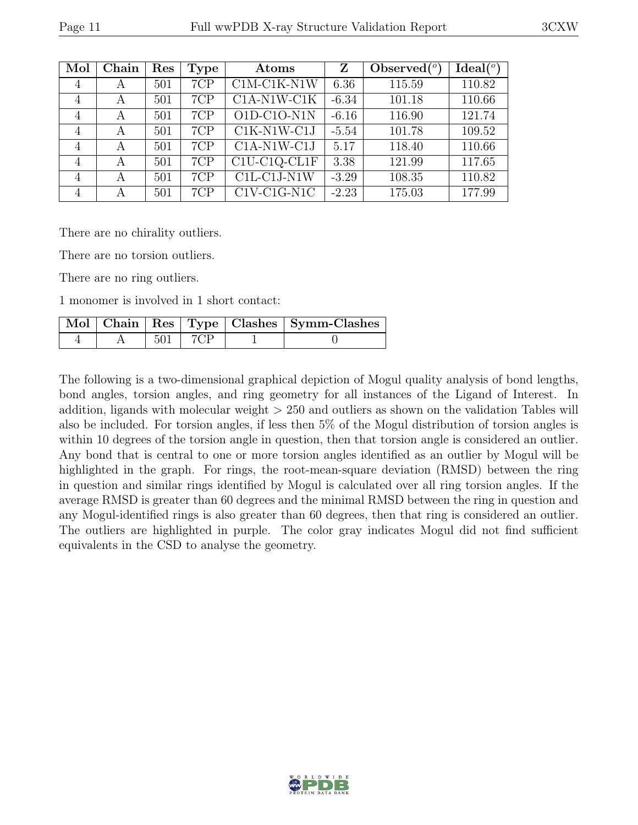| Mol            | Chain | Res | <b>Type</b> | Atoms                            | Z       | Observed $(°)$ | Ideal <sup>(o</sup> ) |
|----------------|-------|-----|-------------|----------------------------------|---------|----------------|-----------------------|
| $\overline{4}$ | А     | 501 | 7CP         | $C1M-C1K-N1W$                    | 6.36    | 115.59         | 110.82                |
| 4              | А     | 501 | 7CP         | $C1A-N1W-C1K$                    | $-6.34$ | 101.18         | 110.66                |
| 4              | А     | 501 | 7CP         | $O1D-C1O-N1N$                    | $-6.16$ | 116.90         | 121.74                |
| 4              | А     | 501 | 7CP         | $C1K-N1W-C1J$                    | $-5.54$ | 101.78         | 109.52                |
| 4              | А     | 501 | 7CP         | $C1A-N1W-C1J$                    | 5.17    | 118.40         | 110.66                |
| 4              | А     | 501 | 7CP         | C1U-C1Q-CL1F                     | 3.38    | 121.99         | 117.65                |
| 4              | А     | 501 | 7CP         | $\overline{\text{C1L-C1J-N1W}}$  | $-3.29$ | 108.35         | 110.82                |
| 4              | А     | 501 | 7CP         | $\overline{\text{C1V}}$ -C1G-N1C | $-2.23$ | 175.03         | 177.99                |

There are no chirality outliers.

There are no torsion outliers.

There are no ring outliers.

1 monomer is involved in 1 short contact:

|  |               | Mol   Chain   Res   Type   Clashes   Symm-Clashes |
|--|---------------|---------------------------------------------------|
|  | $501$   $7CP$ |                                                   |

The following is a two-dimensional graphical depiction of Mogul quality analysis of bond lengths, bond angles, torsion angles, and ring geometry for all instances of the Ligand of Interest. In addition, ligands with molecular weight > 250 and outliers as shown on the validation Tables will also be included. For torsion angles, if less then 5% of the Mogul distribution of torsion angles is within 10 degrees of the torsion angle in question, then that torsion angle is considered an outlier. Any bond that is central to one or more torsion angles identified as an outlier by Mogul will be highlighted in the graph. For rings, the root-mean-square deviation (RMSD) between the ring in question and similar rings identified by Mogul is calculated over all ring torsion angles. If the average RMSD is greater than 60 degrees and the minimal RMSD between the ring in question and any Mogul-identified rings is also greater than 60 degrees, then that ring is considered an outlier. The outliers are highlighted in purple. The color gray indicates Mogul did not find sufficient equivalents in the CSD to analyse the geometry.

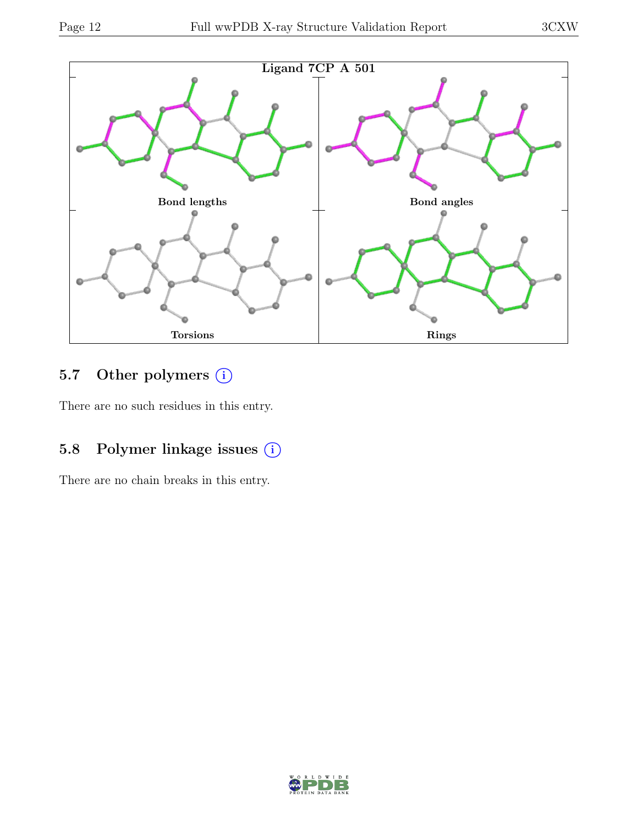

### 5.7 Other polymers (i)

There are no such residues in this entry.

### 5.8 Polymer linkage issues (i)

There are no chain breaks in this entry.

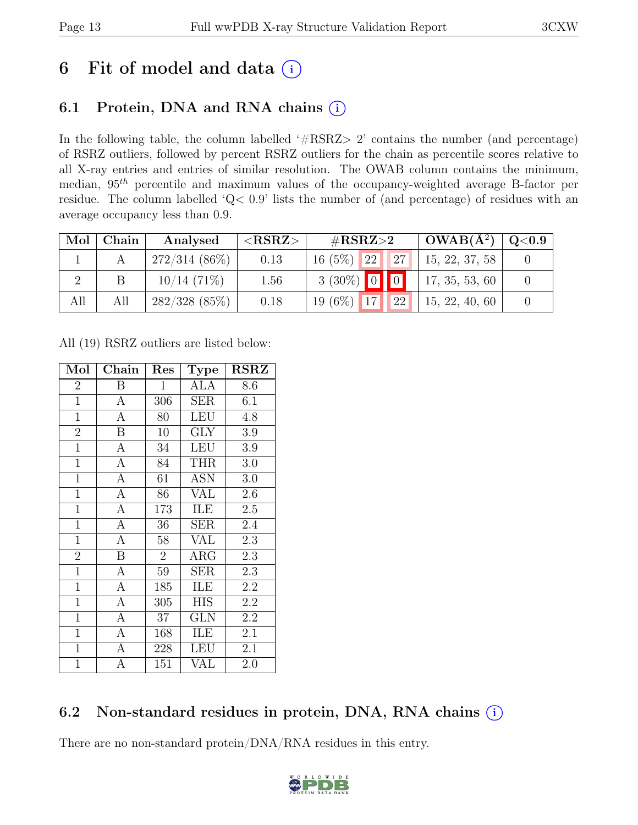## 6 Fit of model and data  $(i)$

### 6.1 Protein, DNA and RNA chains  $(i)$

In the following table, the column labelled ' $\#\text{RSRZ}>2$ ' contains the number (and percentage) of RSRZ outliers, followed by percent RSRZ outliers for the chain as percentile scores relative to all X-ray entries and entries of similar resolution. The OWAB column contains the minimum, median,  $95<sup>th</sup>$  percentile and maximum values of the occupancy-weighted average B-factor per residue. The column labelled 'Q< 0.9' lists the number of (and percentage) of residues with an average occupancy less than 0.9.

| Mol ' | Chain | Analysed        | $<$ RSRZ $>$ | # $RSRZ>2$          | $\text{OWAB}(\AA^2)$ | $\mid$ Q<0.9 $\mid$ |
|-------|-------|-----------------|--------------|---------------------|----------------------|---------------------|
|       |       | $272/314(86\%)$ | 0.13         | $16(5\%)$ 22 27     | 15, 22, 37, 58       |                     |
|       |       | $10/14(71\%)$   | 1.56         | $3(30\%)$ 0 0       | 17, 35, 53, 60       |                     |
| All   | All   | $282/328$ (85%) | 0.18         | $19(6\%)$ 17<br> 22 | 15, 22, 40, 60       |                     |

All (19) RSRZ outliers are listed below:

| Mol            | Chain            | Res            | <b>Type</b> | <b>RSRZ</b> |
|----------------|------------------|----------------|-------------|-------------|
| $\overline{2}$ | B                | 1              | ALA         | 8.6         |
| $\overline{1}$ | $\mathbf{A}$     | 306            | <b>SER</b>  | 6.1         |
| $\mathbf{1}$   | $\overline{A}$   | 80             | <b>LEU</b>  | 4.8         |
| $\overline{2}$ | $\boldsymbol{B}$ | 10             | <b>GLY</b>  | 3.9         |
| $\overline{1}$ | $\overline{A}$   | 34             | <b>LEU</b>  | 3.9         |
| $\overline{1}$ | $\mathbf{A}$     | 84             | <b>THR</b>  | 3.0         |
| $\overline{1}$ | $\mathbf{A}$     | 61             | <b>ASN</b>  | 3.0         |
| $\mathbf{1}$   | $\mathbf{A}$     | 86             | <b>VAL</b>  | 2.6         |
| $\mathbf{1}$   | $\boldsymbol{A}$ | 173            | ILE         | 2.5         |
| $\mathbf{1}$   | $\overline{A}$   | 36             | <b>SER</b>  | 2.4         |
| $\mathbf{1}$   | $\boldsymbol{A}$ | 58             | VAL         | 2.3         |
| $\overline{2}$ | $\boldsymbol{B}$ | $\overline{2}$ | $\rm{ARG}$  | 2.3         |
| $\overline{1}$ | $\overline{A}$   | 59             | <b>SER</b>  | 2.3         |
| $\overline{1}$ | $\overline{A}$   | 185            | ILE         | 2.2         |
| $\overline{1}$ | $\overline{A}$   | 305            | <b>HIS</b>  | 2.2         |
| $\mathbf{1}$   | $\overline{A}$   | 37             | <b>GLN</b>  | 2.2         |
| $\mathbf{1}$   | $\overline{A}$   | 168            | ILE         | 2.1         |
| $\mathbf{1}$   | $\mathbf{A}$     | 228            | LEU         | 2.1         |
| $\overline{1}$ | А                | 151            | VAL         | 2.0         |

### 6.2 Non-standard residues in protein, DNA, RNA chains (i)

There are no non-standard protein/DNA/RNA residues in this entry.

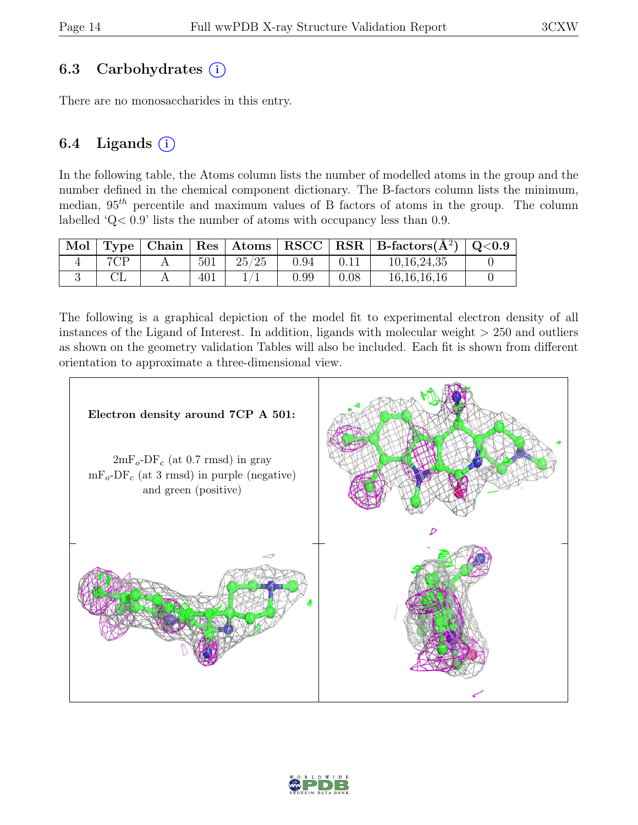#### 6.3 Carbohydrates  $(i)$

There are no monosaccharides in this entry.

#### 6.4 Ligands  $(i)$

In the following table, the Atoms column lists the number of modelled atoms in the group and the number defined in the chemical component dictionary. The B-factors column lists the minimum, median,  $95<sup>th</sup>$  percentile and maximum values of B factors of atoms in the group. The column labelled 'Q< 0.9' lists the number of atoms with occupancy less than 0.9.

|     |     |       |      |      | Mol   Type   Chain   Res   Atoms   RSCC   RSR   B-factors $(\AA^2)$   Q<0.9 |  |
|-----|-----|-------|------|------|-----------------------------------------------------------------------------|--|
| 7CP | 501 | 25/25 | 0.94 | 0.11 | 10, 16, 24, 35                                                              |  |
|     | 401 |       | 0.99 | 0.08 | 16, 16, 16, 16                                                              |  |

The following is a graphical depiction of the model fit to experimental electron density of all instances of the Ligand of Interest. In addition, ligands with molecular weight > 250 and outliers as shown on the geometry validation Tables will also be included. Each fit is shown from different orientation to approximate a three-dimensional view.